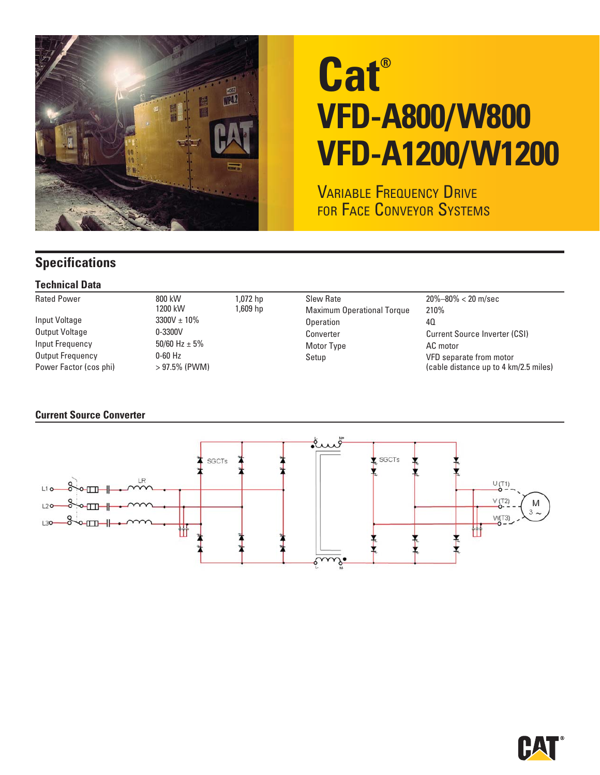

# **Cat® VFD-A800/W800 VFD-A1200/W1200**

VARIABLE FREQUENCY DRIVE FOR FACE CONVEYOR SYSTEMS

## **Specifications**

### **Technical Data**

| <b>Rated Power</b><br>Input Voltage<br>Output Voltage<br>Input Frequency<br>Output Frequency<br>Power Factor (cos phi) | 800 kW<br>1,072 hp<br>1200 kW<br>1,609 hp<br>$3300V \pm 10\%$<br>$0 - 3300V$<br>50/60 Hz $\pm$ 5%<br>$0-60$ Hz<br>$>97.5\%$ (PWM) | <b>Slew Rate</b><br><b>Maximum Operational Torque</b><br>Operation<br>Converter<br>Motor Type<br>Setup | $20\% - 80\% < 20$ m/sec<br>210%<br>40<br><b>Current Source Inverter (CSI)</b><br>AC motor<br>VFD separate from motor<br>(cable distance up to 4 km/2.5 miles) |
|------------------------------------------------------------------------------------------------------------------------|-----------------------------------------------------------------------------------------------------------------------------------|--------------------------------------------------------------------------------------------------------|----------------------------------------------------------------------------------------------------------------------------------------------------------------|
|------------------------------------------------------------------------------------------------------------------------|-----------------------------------------------------------------------------------------------------------------------------------|--------------------------------------------------------------------------------------------------------|----------------------------------------------------------------------------------------------------------------------------------------------------------------|

#### **Current Source Converter**